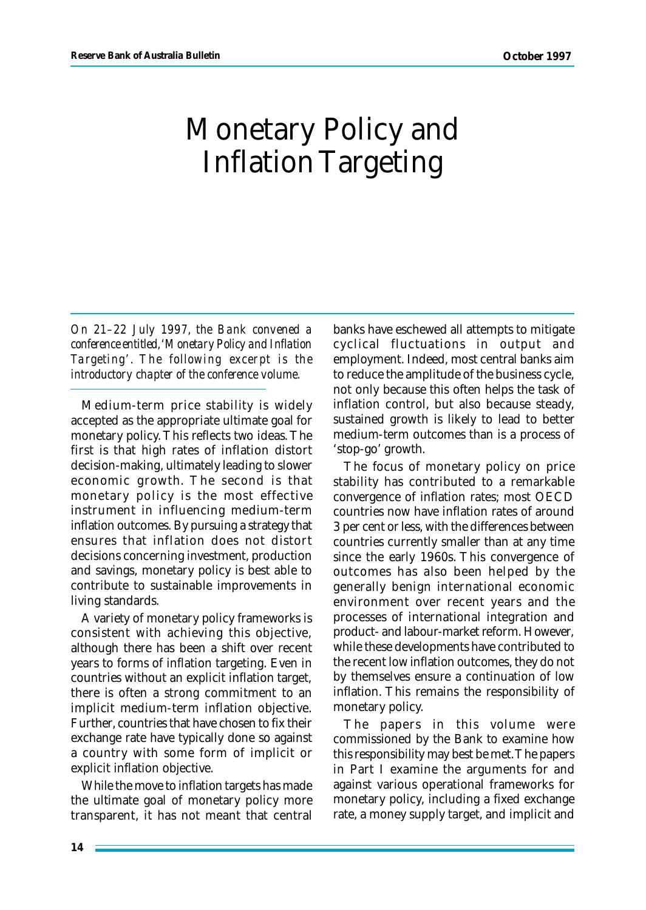## Monetary Policy and Inflation Targeting

*On 21–22 July 1997, the Bank convened a conference entitled, 'Monetary Policy and Inflation Targeting'. The following excerpt is the introductory chapter of the conference volume.*

Medium-term price stability is widely accepted as the appropriate ultimate goal for monetary policy. This reflects two ideas. The first is that high rates of inflation distort decision-making, ultimately leading to slower economic growth. The second is that monetary policy is the most effective instrument in influencing medium-term inflation outcomes. By pursuing a strategy that ensures that inflation does not distort decisions concerning investment, production and savings, monetary policy is best able to contribute to sustainable improvements in living standards.

A variety of monetary policy frameworks is consistent with achieving this objective, although there has been a shift over recent years to forms of inflation targeting. Even in countries without an explicit inflation target, there is often a strong commitment to an implicit medium-term inflation objective. Further, countries that have chosen to fix their exchange rate have typically done so against a country with some form of implicit or explicit inflation objective.

While the move to inflation targets has made the ultimate goal of monetary policy more transparent, it has not meant that central banks have eschewed all attempts to mitigate cyclical fluctuations in output and employment. Indeed, most central banks aim to reduce the amplitude of the business cycle, not only because this often helps the task of inflation control, but also because steady, sustained growth is likely to lead to better medium-term outcomes than is a process of 'stop-go' growth.

The focus of monetary policy on price stability has contributed to a remarkable convergence of inflation rates; most OECD countries now have inflation rates of around 3 per cent or less, with the differences between countries currently smaller than at any time since the early 1960s. This convergence of outcomes has also been helped by the generally benign international economic environment over recent years and the processes of international integration and product- and labour-market reform. However, while these developments have contributed to the recent low inflation outcomes, they do not by themselves ensure a continuation of low inflation. This remains the responsibility of monetary policy.

The papers in this volume were commissioned by the Bank to examine how this responsibility may best be met. The papers in Part I examine the arguments for and against various operational frameworks for monetary policy, including a fixed exchange rate, a money supply target, and implicit and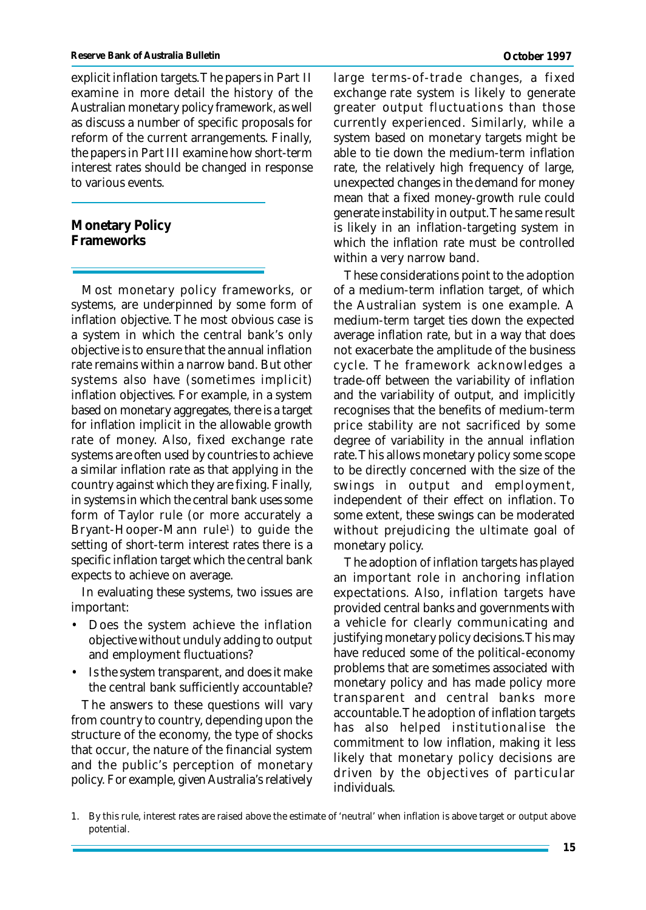explicit inflation targets. The papers in Part II examine in more detail the history of the Australian monetary policy framework, as well as discuss a number of specific proposals for reform of the current arrangements. Finally, the papers in Part III examine how short-term interest rates should be changed in response to various events.

**Monetary Policy Frameworks**

Most monetary policy frameworks, or systems, are underpinned by some form of inflation objective. The most obvious case is a system in which the central bank's only objective is to ensure that the annual inflation rate remains within a narrow band. But other systems also have (sometimes implicit) inflation objectives. For example, in a system based on monetary aggregates, there is a target for inflation implicit in the allowable growth rate of money. Also, fixed exchange rate systems are often used by countries to achieve a similar inflation rate as that applying in the country against which they are fixing. Finally, in systems in which the central bank uses some form of Taylor rule (or more accurately a Bryant-Hooper-Mann rule<sup>1</sup>) to guide the setting of short-term interest rates there is a specific inflation target which the central bank expects to achieve on average.

In evaluating these systems, two issues are important:

- Does the system achieve the inflation objective without unduly adding to output and employment fluctuations?
- Is the system transparent, and does it make the central bank sufficiently accountable?

The answers to these questions will vary from country to country, depending upon the structure of the economy, the type of shocks that occur, the nature of the financial system and the public's perception of monetary policy. For example, given Australia's relatively large terms-of-trade changes, a fixed exchange rate system is likely to generate greater output fluctuations than those currently experienced. Similarly, while a system based on monetary targets might be able to tie down the medium-term inflation rate, the relatively high frequency of large, unexpected changes in the demand for money mean that a fixed money-growth rule could generate instability in output. The same result is likely in an inflation-targeting system in which the inflation rate must be controlled within a very narrow band.

These considerations point to the adoption of a medium-term inflation target, of which the Australian system is one example. A medium-term target ties down the expected average inflation rate, but in a way that does not exacerbate the amplitude of the business cycle. The framework acknowledges a trade-off between the variability of inflation and the variability of output, and implicitly recognises that the benefits of medium-term price stability are not sacrificed by some degree of variability in the annual inflation rate. This allows monetary policy some scope to be directly concerned with the size of the swings in output and employment, independent of their effect on inflation. To some extent, these swings can be moderated without prejudicing the ultimate goal of monetary policy.

The adoption of inflation targets has played an important role in anchoring inflation expectations. Also, inflation targets have provided central banks and governments with a vehicle for clearly communicating and justifying monetary policy decisions. This may have reduced some of the political-economy problems that are sometimes associated with monetary policy and has made policy more transparent and central banks more accountable. The adoption of inflation targets has also helped institutionalise the commitment to low inflation, making it less likely that monetary policy decisions are driven by the objectives of particular individuals.

<sup>1.</sup> By this rule, interest rates are raised above the estimate of 'neutral' when inflation is above target or output above potential.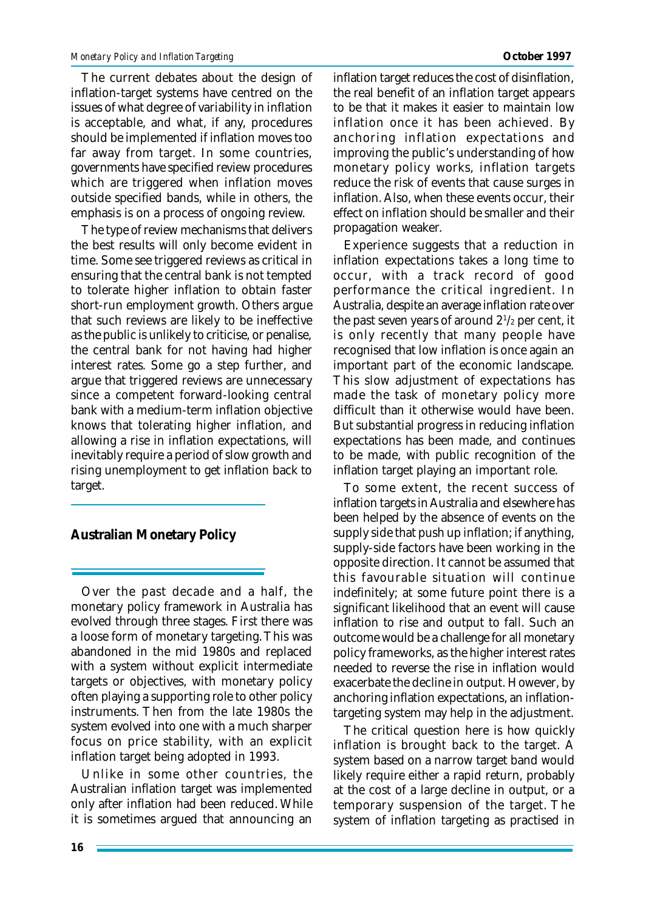The current debates about the design of inflation-target systems have centred on the issues of what degree of variability in inflation is acceptable, and what, if any, procedures should be implemented if inflation moves too far away from target. In some countries, governments have specified review procedures which are triggered when inflation moves outside specified bands, while in others, the emphasis is on a process of ongoing review.

The type of review mechanisms that delivers the best results will only become evident in time. Some see triggered reviews as critical in ensuring that the central bank is not tempted to tolerate higher inflation to obtain faster short-run employment growth. Others argue that such reviews are likely to be ineffective as the public is unlikely to criticise, or penalise, the central bank for not having had higher interest rates. Some go a step further, and argue that triggered reviews are unnecessary since a competent forward-looking central bank with a medium-term inflation objective knows that tolerating higher inflation, and allowing a rise in inflation expectations, will inevitably require a period of slow growth and rising unemployment to get inflation back to target.

**Australian Monetary Policy**

Over the past decade and a half, the monetary policy framework in Australia has evolved through three stages. First there was a loose form of monetary targeting. This was abandoned in the mid 1980s and replaced with a system without explicit intermediate targets or objectives, with monetary policy often playing a supporting role to other policy instruments. Then from the late 1980s the system evolved into one with a much sharper focus on price stability, with an explicit inflation target being adopted in 1993.

Unlike in some other countries, the Australian inflation target was implemented only after inflation had been reduced. While it is sometimes argued that announcing an

inflation target reduces the cost of disinflation, the real benefit of an inflation target appears to be that it makes it easier to maintain low inflation once it has been achieved. By anchoring inflation expectations and improving the public's understanding of how monetary policy works, inflation targets reduce the risk of events that cause surges in inflation. Also, when these events occur, their effect on inflation should be smaller and their propagation weaker.

Experience suggests that a reduction in inflation expectations takes a long time to occur, with a track record of good performance the critical ingredient. In Australia, despite an average inflation rate over the past seven years of around  $2^{1/2}$  per cent, it is only recently that many people have recognised that low inflation is once again an important part of the economic landscape. This slow adjustment of expectations has made the task of monetary policy more difficult than it otherwise would have been. But substantial progress in reducing inflation expectations has been made, and continues to be made, with public recognition of the inflation target playing an important role.

To some extent, the recent success of inflation targets in Australia and elsewhere has been helped by the absence of events on the supply side that push up inflation; if anything, supply-side factors have been working in the opposite direction. It cannot be assumed that this favourable situation will continue indefinitely; at some future point there is a significant likelihood that an event will cause inflation to rise and output to fall. Such an outcome would be a challenge for all monetary policy frameworks, as the higher interest rates needed to reverse the rise in inflation would exacerbate the decline in output. However, by anchoring inflation expectations, an inflationtargeting system may help in the adjustment.

The critical question here is how quickly inflation is brought back to the target. A system based on a narrow target band would likely require either a rapid return, probably at the cost of a large decline in output, or a temporary suspension of the target. The system of inflation targeting as practised in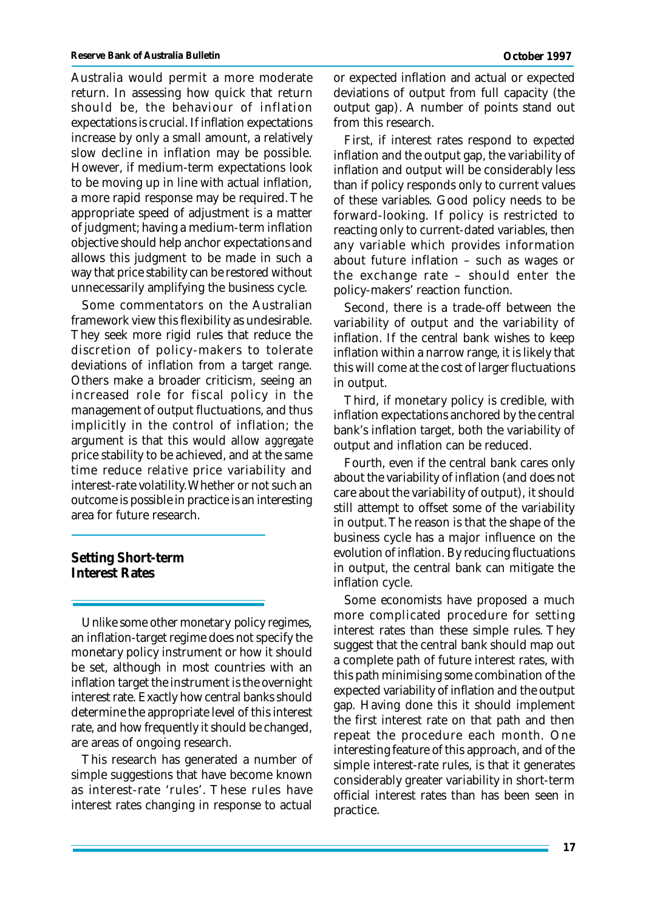Australia would permit a more moderate return. In assessing how quick that return should be, the behaviour of inflation expectations is crucial. If inflation expectations increase by only a small amount, a relatively slow decline in inflation may be possible. However, if medium-term expectations look to be moving up in line with actual inflation, a more rapid response may be required. The appropriate speed of adjustment is a matter of judgment; having a medium-term inflation objective should help anchor expectations and allows this judgment to be made in such a way that price stability can be restored without unnecessarily amplifying the business cycle.

Some commentators on the Australian framework view this flexibility as undesirable. They seek more rigid rules that reduce the discretion of policy-makers to tolerate deviations of inflation from a target range. Others make a broader criticism, seeing an increased role for fiscal policy in the management of output fluctuations, and thus implicitly in the control of inflation; the argument is that this would allow *aggregate* price stability to be achieved, and at the same time reduce *relative* price variability and interest-rate volatility. Whether or not such an outcome is possible in practice is an interesting area for future research.

**Setting Short-term Interest Rates**

Unlike some other monetary policy regimes, an inflation-target regime does not specify the monetary policy instrument or how it should be set, although in most countries with an inflation target the instrument is the overnight interest rate. Exactly how central banks should determine the appropriate level of this interest rate, and how frequently it should be changed, are areas of ongoing research.

This research has generated a number of simple suggestions that have become known as interest-rate 'rules'. These rules have interest rates changing in response to actual

or expected inflation and actual or expected deviations of output from full capacity (the output gap). A number of points stand out from this research.

First, if interest rates respond to *expected* inflation and the output gap, the variability of inflation and output will be considerably less than if policy responds only to current values of these variables. Good policy needs to be forward-looking. If policy is restricted to reacting only to current-dated variables, then any variable which provides information about future inflation – such as wages or the exchange rate – should enter the policy-makers' reaction function.

Second, there is a trade-off between the variability of output and the variability of inflation. If the central bank wishes to keep inflation within a narrow range, it is likely that this will come at the cost of larger fluctuations in output.

Third, if monetary policy is credible, with inflation expectations anchored by the central bank's inflation target, both the variability of output and inflation can be reduced.

Fourth, even if the central bank cares only about the variability of inflation (and does not care about the variability of output), it should still attempt to offset some of the variability in output. The reason is that the shape of the business cycle has a major influence on the evolution of inflation. By reducing fluctuations in output, the central bank can mitigate the inflation cycle.

Some economists have proposed a much more complicated procedure for setting interest rates than these simple rules. They suggest that the central bank should map out a complete path of future interest rates, with this path minimising some combination of the expected variability of inflation and the output gap. Having done this it should implement the first interest rate on that path and then repeat the procedure each month. One interesting feature of this approach, and of the simple interest-rate rules, is that it generates considerably greater variability in short-term official interest rates than has been seen in practice.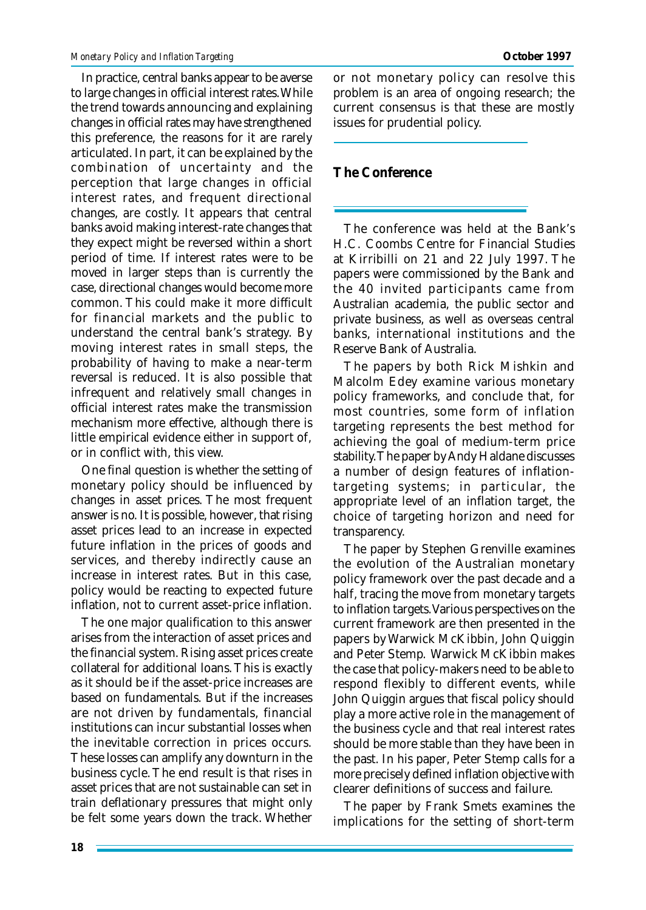In practice, central banks appear to be averse to large changes in official interest rates. While the trend towards announcing and explaining changes in official rates may have strengthened this preference, the reasons for it are rarely articulated. In part, it can be explained by the combination of uncertainty and the perception that large changes in official interest rates, and frequent directional changes, are costly. It appears that central banks avoid making interest-rate changes that they expect might be reversed within a short period of time. If interest rates were to be moved in larger steps than is currently the case, directional changes would become more common. This could make it more difficult for financial markets and the public to understand the central bank's strategy. By moving interest rates in small steps, the probability of having to make a near-term reversal is reduced. It is also possible that infrequent and relatively small changes in official interest rates make the transmission mechanism more effective, although there is little empirical evidence either in support of, or in conflict with, this view.

One final question is whether the setting of monetary policy should be influenced by changes in asset prices. The most frequent answer is no. It is possible, however, that rising asset prices lead to an increase in expected future inflation in the prices of goods and services, and thereby indirectly cause an increase in interest rates. But in this case, policy would be reacting to expected future inflation, not to current asset-price inflation.

The one major qualification to this answer arises from the interaction of asset prices and the financial system. Rising asset prices create collateral for additional loans. This is exactly as it should be if the asset-price increases are based on fundamentals. But if the increases are not driven by fundamentals, financial institutions can incur substantial losses when the inevitable correction in prices occurs. These losses can amplify any downturn in the business cycle. The end result is that rises in asset prices that are not sustainable can set in train deflationary pressures that might only be felt some years down the track. Whether or not monetary policy can resolve this problem is an area of ongoing research; the current consensus is that these are mostly issues for prudential policy.

## **The Conference**

The conference was held at the Bank's H.C. Coombs Centre for Financial Studies at Kirribilli on 21 and 22 July 1997. The papers were commissioned by the Bank and the 40 invited participants came from Australian academia, the public sector and private business, as well as overseas central banks, international institutions and the Reserve Bank of Australia.

The papers by both Rick Mishkin and Malcolm Edey examine various monetary policy frameworks, and conclude that, for most countries, some form of inflation targeting represents the best method for achieving the goal of medium-term price stability. The paper by Andy Haldane discusses a number of design features of inflationtargeting systems; in particular, the appropriate level of an inflation target, the choice of targeting horizon and need for transparency.

The paper by Stephen Grenville examines the evolution of the Australian monetary policy framework over the past decade and a half, tracing the move from monetary targets to inflation targets. Various perspectives on the current framework are then presented in the papers by Warwick McKibbin, John Quiggin and Peter Stemp. Warwick McKibbin makes the case that policy-makers need to be able to respond flexibly to different events, while John Quiggin argues that fiscal policy should play a more active role in the management of the business cycle and that real interest rates should be more stable than they have been in the past. In his paper, Peter Stemp calls for a more precisely defined inflation objective with clearer definitions of success and failure.

The paper by Frank Smets examines the implications for the setting of short-term